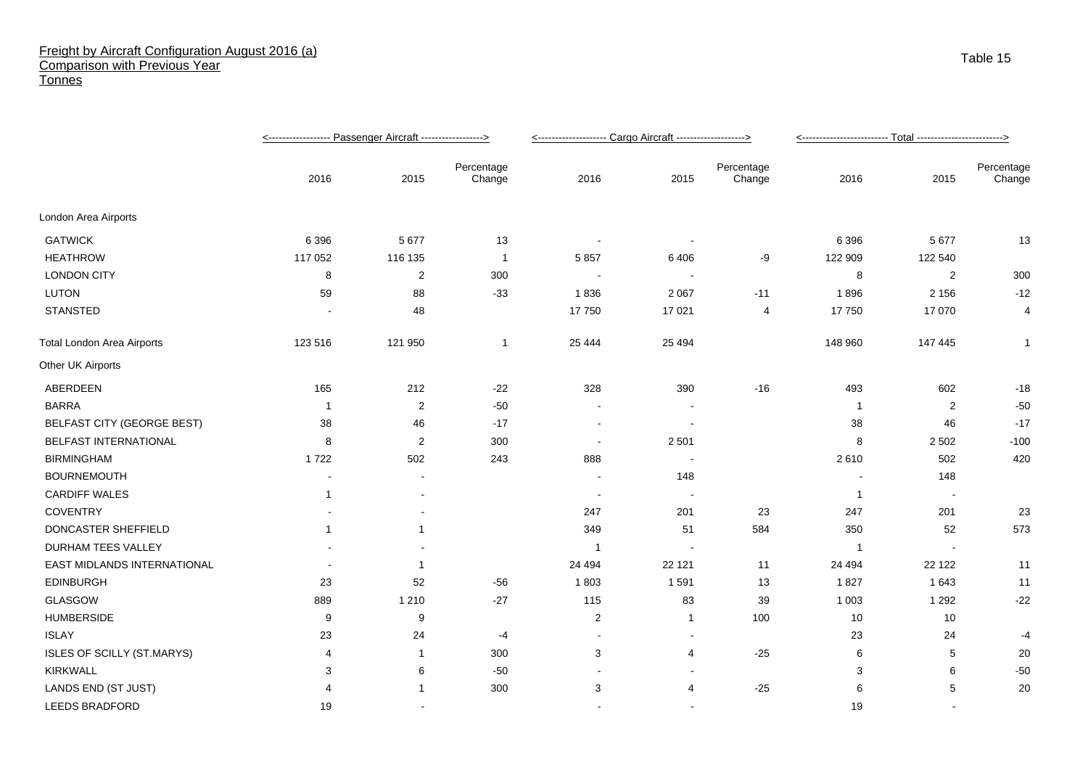## Freight by Aircraft Configuration August 2016 (a) Comparison with Previous Year **Tonnes**

|                                   |                |                          |                      | <-------------------- Cargo Aircraft -------------------> |         |                      |                |                |                      |
|-----------------------------------|----------------|--------------------------|----------------------|-----------------------------------------------------------|---------|----------------------|----------------|----------------|----------------------|
|                                   | 2016           | 2015                     | Percentage<br>Change | 2016                                                      | 2015    | Percentage<br>Change | 2016           | 2015           | Percentage<br>Change |
| London Area Airports              |                |                          |                      |                                                           |         |                      |                |                |                      |
| <b>GATWICK</b>                    | 6 3 9 6        | 5 6 7 7                  | 13                   |                                                           |         |                      | 6 3 9 6        | 5 6 7 7        | 13                   |
| <b>HEATHROW</b>                   | 117 052        | 116 135                  | $\mathbf{1}$         | 5857                                                      | 6406    | -9                   | 122 909        | 122 540        |                      |
| <b>LONDON CITY</b>                | 8              | $\overline{2}$           | 300                  |                                                           |         |                      | 8              | $\overline{2}$ | 300                  |
| LUTON                             | 59             | 88                       | $-33$                | 1836                                                      | 2 0 6 7 | $-11$                | 1896           | 2 1 5 6        | $-12$                |
| STANSTED                          |                | 48                       |                      | 17750                                                     | 17 0 21 | 4                    | 17750          | 17 070         | 4                    |
| <b>Total London Area Airports</b> | 123 516        | 121 950                  | 1                    | 25 4 44                                                   | 25 4 94 |                      | 148 960        | 147 445        | $\mathbf{1}$         |
| Other UK Airports                 |                |                          |                      |                                                           |         |                      |                |                |                      |
| ABERDEEN                          | 165            | 212                      | $-22$                | 328                                                       | 390     | $-16$                | 493            | 602            | $-18$                |
| <b>BARRA</b>                      | $\overline{1}$ | $\overline{c}$           | $-50$                |                                                           |         |                      | -1             | 2              | $-50$                |
| <b>BELFAST CITY (GEORGE BEST)</b> | 38             | 46                       | $-17$                |                                                           |         |                      | 38             | 46             | $-17$                |
| BELFAST INTERNATIONAL             | 8              | $\overline{2}$           | 300                  | $\blacksquare$                                            | 2 5 0 1 |                      | 8              | 2 5 0 2        | $-100$               |
| <b>BIRMINGHAM</b>                 | 1722           | 502                      | 243                  | 888                                                       |         |                      | 2610           | 502            | 420                  |
| <b>BOURNEMOUTH</b>                | $\blacksquare$ | ä,                       |                      |                                                           | 148     |                      |                | 148            |                      |
| <b>CARDIFF WALES</b>              | $\mathbf 1$    | $\overline{\phantom{0}}$ |                      | $\overline{\phantom{a}}$                                  | $\sim$  |                      | $\overline{1}$ | $\sim$         |                      |
| <b>COVENTRY</b>                   |                |                          |                      | 247                                                       | 201     | 23                   | 247            | 201            | 23                   |
| DONCASTER SHEFFIELD               | $\mathbf{1}$   |                          |                      | 349                                                       | 51      | 584                  | 350            | 52             | 573                  |
| DURHAM TEES VALLEY                |                |                          |                      | -1                                                        | $\sim$  |                      | $\overline{1}$ |                |                      |
| EAST MIDLANDS INTERNATIONAL       |                |                          |                      | 24 494                                                    | 22 1 21 | 11                   | 24 494         | 22 122         | 11                   |
| <b>EDINBURGH</b>                  | 23             | 52                       | $-56$                | 1803                                                      | 1591    | 13                   | 1827           | 1643           | 11                   |
| GLASGOW                           | 889            | 1 2 1 0                  | $-27$                | 115                                                       | 83      | 39                   | 1 0 0 3        | 1 2 9 2        | $-22$                |
| <b>HUMBERSIDE</b>                 | 9              | 9                        |                      | $\overline{c}$                                            | 1       | 100                  | 10             | 10             |                      |
| <b>ISLAY</b>                      | 23             | 24                       | -4                   | $\blacksquare$                                            |         |                      | 23             | 24             | -4                   |
| ISLES OF SCILLY (ST.MARYS)        | 4              |                          | 300                  | 3                                                         | 4       | $-25$                | 6              | 5              | 20                   |
| <b>KIRKWALL</b>                   | 3              | 6                        | $-50$                |                                                           |         |                      | 3              | 6              | $-50$                |
| LANDS END (ST JUST)               | 4              |                          | 300                  | 3                                                         | 4       | $-25$                | 6              | 5              | 20                   |
| LEEDS BRADFORD                    | 19             |                          |                      |                                                           |         |                      | 19             |                |                      |